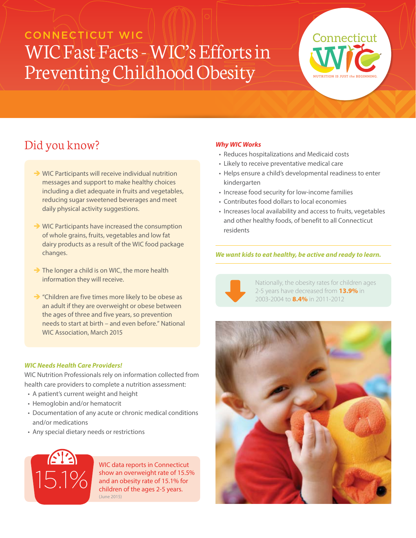# WIC Fast Facts - WIC's Efforts in Preventing Childhood Obesity CONNECTICUT WIC

# W **Connecticut NUTRITION IS JUST** *the* **BEGINNING.**

## Did you know? *Why WIC Works*

- $\rightarrow$  WIC Participants will receive individual nutrition messages and support to make healthy choices including a diet adequate in fruits and vegetables, reducing sugar sweetened beverages and meet daily physical activity suggestions.
- $\rightarrow$  WIC Participants have increased the consumption of whole grains, fruits, vegetables and low fat dairy products as a result of the WIC food package changes.
- $\rightarrow$  The longer a child is on WIC, the more health information they will receive.
- $\rightarrow$  "Children are five times more likely to be obese as an adult if they are overweight or obese between the ages of three and five years, so prevention needs to start at birth – and even before." National WIC Association, March 2015

### *WIC Needs Health Care Providers!*

WIC Nutrition Professionals rely on information collected from health care providers to complete a nutrition assessment:

- A patient's current weight and height
- Hemoglobin and/or hematocrit
- Documentation of any acute or chronic medical conditions and/or medications
- Any special dietary needs or restrictions



WIC data reports in Connecticut show an overweight rate of 15.5% and an obesity rate of 15.1% for children of the ages 2-5 years. (June 2015)

- Reduces hospitalizations and Medicaid costs
- Likely to receive preventative medical care
- Helps ensure a child's developmental readiness to enter kindergarten
- Increase food security for low-income families
- Contributes food dollars to local economies
- Increases local availability and access to fruits, vegetables and other healthy foods, of benefit to all Connecticut residents

### *We want kids to eat healthy, be active and ready to learn.*



Nationally, the obesity rates for children ages 2-5 years have decreased from **13.9%** in 2003-2004 to **8.4%** in 2011-2012